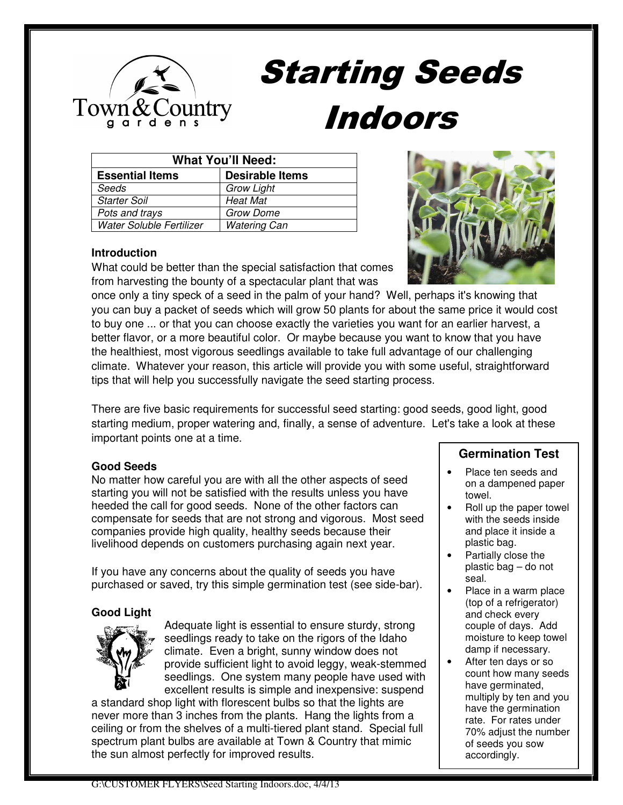

# Starting Seeds Indoors

| <b>What You'll Need:</b> |                        |  |  |
|--------------------------|------------------------|--|--|
| <b>Essential Items</b>   | <b>Desirable Items</b> |  |  |
| Seeds                    | <b>Grow Light</b>      |  |  |
| <b>Starter Soil</b>      | <b>Heat Mat</b>        |  |  |
| Pots and trays           | <b>Grow Dome</b>       |  |  |
| Water Soluble Fertilizer | <b>Watering Can</b>    |  |  |

#### **Introduction**

What could be better than the special satisfaction that comes from harvesting the bounty of a spectacular plant that was



once only a tiny speck of a seed in the palm of your hand? Well, perhaps it's knowing that you can buy a packet of seeds which will grow 50 plants for about the same price it would cost to buy one ... or that you can choose exactly the varieties you want for an earlier harvest, a better flavor, or a more beautiful color. Or maybe because you want to know that you have the healthiest, most vigorous seedlings available to take full advantage of our challenging climate. Whatever your reason, this article will provide you with some useful, straightforward tips that will help you successfully navigate the seed starting process.

There are five basic requirements for successful seed starting: good seeds, good light, good starting medium, proper watering and, finally, a sense of adventure. Let's take a look at these important points one at a time.

#### **Good Seeds**

No matter how careful you are with all the other aspects of seed starting you will not be satisfied with the results unless you have heeded the call for good seeds. None of the other factors can compensate for seeds that are not strong and vigorous. Most seed companies provide high quality, healthy seeds because their livelihood depends on customers purchasing again next year.

If you have any concerns about the quality of seeds you have purchased or saved, try this simple germination test (see side-bar).

# **Good Light**



Adequate light is essential to ensure sturdy, strong seedlings ready to take on the rigors of the Idaho climate. Even a bright, sunny window does not provide sufficient light to avoid leggy, weak-stemmed seedlings. One system many people have used with excellent results is simple and inexpensive: suspend

a standard shop light with florescent bulbs so that the lights are never more than 3 inches from the plants. Hang the lights from a ceiling or from the shelves of a multi-tiered plant stand. Special full spectrum plant bulbs are available at Town & Country that mimic the sun almost perfectly for improved results.

# **Germination Test**

- Place ten seeds and on a dampened paper towel.
- Roll up the paper towel with the seeds inside and place it inside a plastic bag.
- Partially close the plastic bag – do not seal.
- Place in a warm place (top of a refrigerator) and check every couple of days. Add moisture to keep towel damp if necessary.
- After ten days or so count how many seeds have germinated, multiply by ten and you have the germination rate. For rates under 70% adjust the number of seeds you sow accordingly.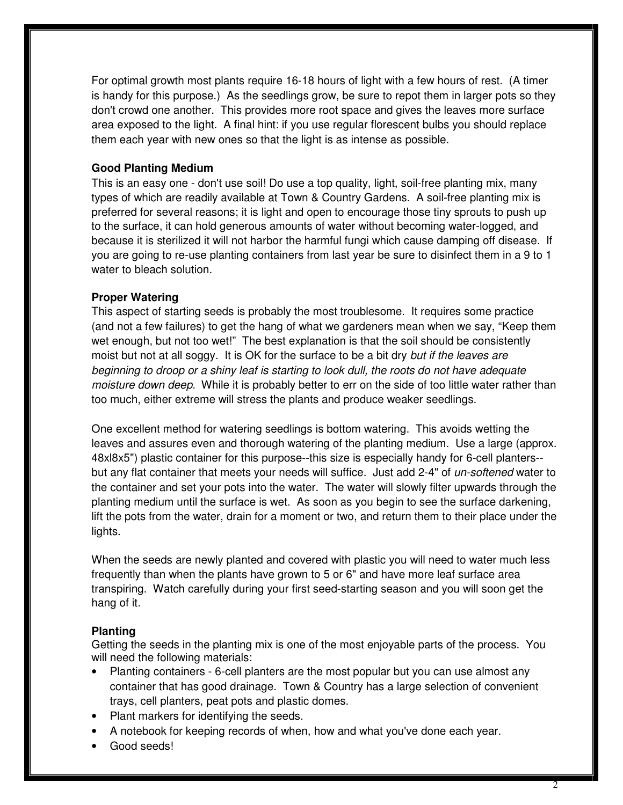For optimal growth most plants require 16-18 hours of light with a few hours of rest. (A timer is handy for this purpose.) As the seedlings grow, be sure to repot them in larger pots so they don't crowd one another. This provides more root space and gives the leaves more surface area exposed to the light. A final hint: if you use regular florescent bulbs you should replace them each year with new ones so that the light is as intense as possible.

#### **Good Planting Medium**

This is an easy one - don't use soil! Do use a top quality, light, soil-free planting mix, many types of which are readily available at Town & Country Gardens. A soil-free planting mix is preferred for several reasons; it is light and open to encourage those tiny sprouts to push up to the surface, it can hold generous amounts of water without becoming water-logged, and because it is sterilized it will not harbor the harmful fungi which cause damping off disease. If you are going to re-use planting containers from last year be sure to disinfect them in a 9 to 1 water to bleach solution.

#### **Proper Watering**

This aspect of starting seeds is probably the most troublesome. It requires some practice (and not a few failures) to get the hang of what we gardeners mean when we say, "Keep them wet enough, but not too wet!" The best explanation is that the soil should be consistently moist but not at all soggy. It is OK for the surface to be a bit dry *but if the leaves are* beginning to droop or a shiny leaf is starting to look dull, the roots do not have adequate moisture down deep. While it is probably better to err on the side of too little water rather than too much, either extreme will stress the plants and produce weaker seedlings.

One excellent method for watering seedlings is bottom watering. This avoids wetting the leaves and assures even and thorough watering of the planting medium. Use a large (approx. 48xl8x5") plastic container for this purpose--this size is especially handy for 6-cell planters- but any flat container that meets your needs will suffice. Just add 2-4" of un-softened water to the container and set your pots into the water. The water will slowly filter upwards through the planting medium until the surface is wet. As soon as you begin to see the surface darkening, lift the pots from the water, drain for a moment or two, and return them to their place under the lights.

When the seeds are newly planted and covered with plastic you will need to water much less frequently than when the plants have grown to 5 or 6" and have more leaf surface area transpiring. Watch carefully during your first seed-starting season and you will soon get the hang of it.

#### **Planting**

Getting the seeds in the planting mix is one of the most enjoyable parts of the process. You will need the following materials:

- Planting containers 6-cell planters are the most popular but you can use almost any container that has good drainage. Town & Country has a large selection of convenient trays, cell planters, peat pots and plastic domes.
- Plant markers for identifying the seeds.
- A notebook for keeping records of when, how and what you've done each year.
- Good seeds!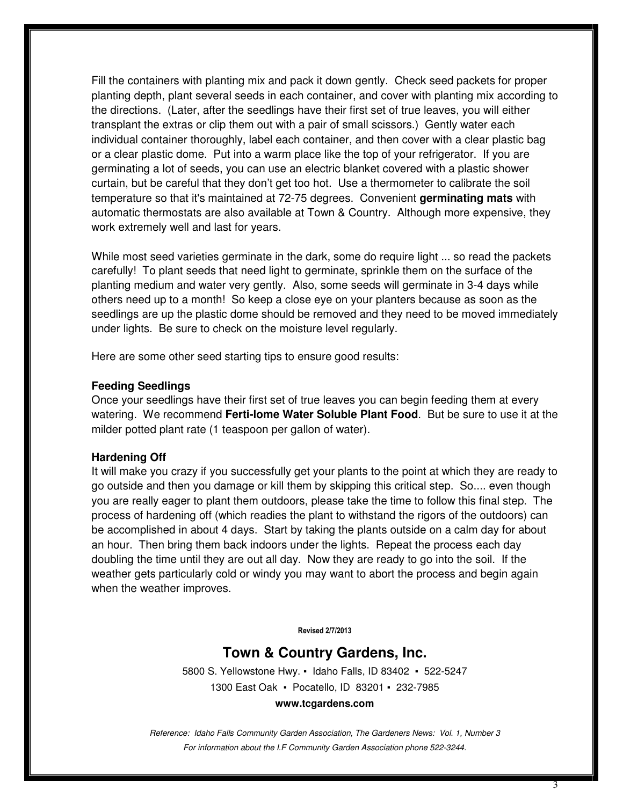Fill the containers with planting mix and pack it down gently. Check seed packets for proper planting depth, plant several seeds in each container, and cover with planting mix according to the directions. (Later, after the seedlings have their first set of true leaves, you will either transplant the extras or clip them out with a pair of small scissors.) Gently water each individual container thoroughly, label each container, and then cover with a clear plastic bag or a clear plastic dome. Put into a warm place like the top of your refrigerator. If you are germinating a lot of seeds, you can use an electric blanket covered with a plastic shower curtain, but be careful that they don't get too hot. Use a thermometer to calibrate the soil temperature so that it's maintained at 72-75 degrees. Convenient **germinating mats** with automatic thermostats are also available at Town & Country. Although more expensive, they work extremely well and last for years.

While most seed varieties germinate in the dark, some do require light ... so read the packets carefully! To plant seeds that need light to germinate, sprinkle them on the surface of the planting medium and water very gently. Also, some seeds will germinate in 3-4 days while others need up to a month! So keep a close eye on your planters because as soon as the seedlings are up the plastic dome should be removed and they need to be moved immediately under lights. Be sure to check on the moisture level regularly.

Here are some other seed starting tips to ensure good results:

#### **Feeding Seedlings**

Once your seedlings have their first set of true leaves you can begin feeding them at every watering. We recommend **Ferti-lome Water Soluble Plant Food**. But be sure to use it at the milder potted plant rate (1 teaspoon per gallon of water).

#### **Hardening Off**

It will make you crazy if you successfully get your plants to the point at which they are ready to go outside and then you damage or kill them by skipping this critical step. So.... even though you are really eager to plant them outdoors, please take the time to follow this final step. The process of hardening off (which readies the plant to withstand the rigors of the outdoors) can be accomplished in about 4 days. Start by taking the plants outside on a calm day for about an hour. Then bring them back indoors under the lights. Repeat the process each day doubling the time until they are out all day. Now they are ready to go into the soil. If the weather gets particularly cold or windy you may want to abort the process and begin again when the weather improves.

Revised 2/7/2013

# **Town & Country Gardens, Inc.**

5800 S. Yellowstone Hwy. ▪ Idaho Falls, ID 83402 ▪ 522-5247 1300 East Oak ▪ Pocatello, ID 83201 ▪ 232-7985

#### **www.tcgardens.com**

Reference: Idaho Falls Community Garden Association, The Gardeners News: Vol. 1, Number 3 For information about the I.F Community Garden Association phone 522-3244.